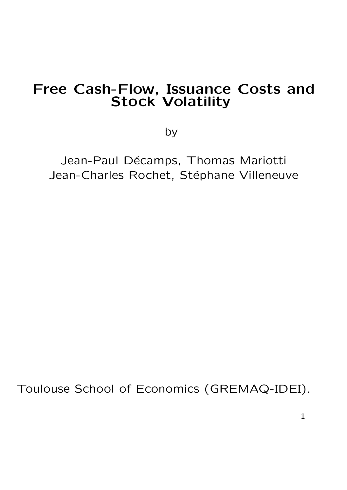## Free Cash-Flow, Issuance Costs and Stock Volatility

by

Jean-Paul Décamps, Thomas Mariotti Jean-Charles Rochet, Stéphane Villeneuve

Toulouse School of Economics (GREMAQ-IDEI).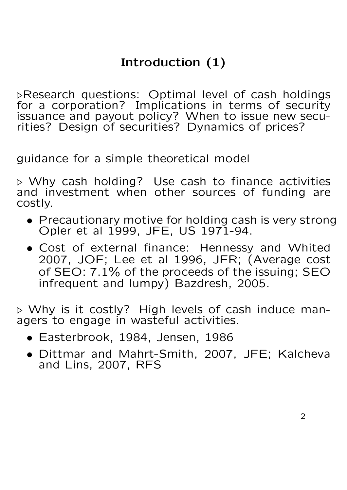# Introduction (1)

**EResearch questions: Optimal level of cash holdings** for a corporation? Implications in terms of security issuance and payout policy? When to issue new securities? Design of securities? Dynamics of prices?

guidance for a simple theoretical model

. Why cash holding? Use cash to finance activities and investment when other sources of funding are costly.

- Precautionary motive for holding cash is very strong Opler et al 1999, JFE, US 1971-94.
- Cost of external finance: Hennessy and Whited 2007, JOF; Lee et al 1996, JFR; (Average cost of SEO: 7.1% of the proceeds of the issuing; SEO infrequent and lumpy) Bazdresh, 2005.

. Why is it costly? High levels of cash induce managers to engage in wasteful activities.

- Easterbrook, 1984, Jensen, 1986
- Dittmar and Mahrt-Smith, 2007, JFE; Kalcheva and Lins, 2007, RFS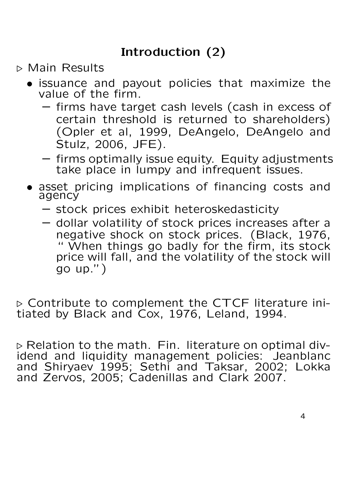- . Main Results
	- issuance and payout policies that maximize the value of the firm.
		- firms have target cash levels (cash in excess of certain threshold is returned to shareholders) (Opler et al, 1999, DeAngelo, DeAngelo and Stulz, 2006, JFE).
		- firms optimally issue equity. Equity adjustments take place in lumpy and infrequent issues.
	- asset pricing implications of financing costs and agency
		- stock prices exhibit heteroskedasticity
		- dollar volatility of stock prices increases after a negative shock on stock prices. (Black, 1976, " When things go badly for the firm, its stock price will fall, and the volatility of the stock will go up.")

. Contribute to complement the CTCF literature initiated by Black and Cox, 1976, Leland, 1994.

 $\triangleright$  Relation to the math. Fin. literature on optimal dividend and liquidity management policies: Jeanblanc and Shiryaev 1995; Sethi and Taksar, 2002; Lokka and Zervos, 2005; Cadenillas and Clark 2007.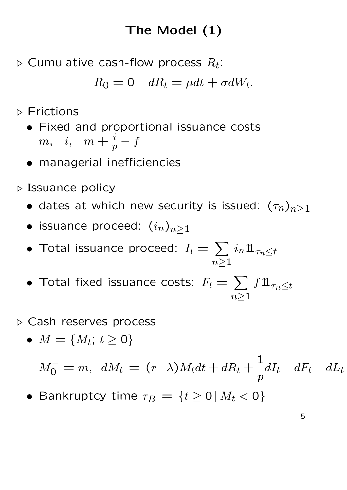# The Model (1)

 $\triangleright$  Cumulative cash-flow process  $R_t$ :

$$
R_0 = 0 \quad dR_t = \mu dt + \sigma dW_t.
$$

 $\triangleright$  Frictions

- Fixed and proportional issuance costs  $m, \quad i, \quad m+\frac{i}{p}-f$
- managerial inefficiencies
- $\triangleright$  Issuance policy
	- dates at which new security is issued:  $(\tau_n)_{n\geq 1}$
	- issuance proceed:  $(i_n)_{n\geq 1}$
	- Total issuance proceed:  $I_t =$  $\overline{\phantom{a}}$  $n \geq 1$  $i_n 1\!\!1_{\tau_n\leq t}$
	- Total fixed issuance costs:  $F_t =$  $\overline{\phantom{a}}$  $n \geq 1$  $f1\!\!1_{\tau_n\leq t}$
- . Cash reserves process
	- $M = \{M_t; t \ge 0\}$

 $M_0^- = m$ ,  $dM_t = (r - \lambda)M_t dt + dR_t +$ 1  $\overline{p}$  $dI_t - dF_t - dL_t$ 

• Bankruptcy time  $\tau_B = \{t \geq 0 \, | \, M_t < 0\}$ 

5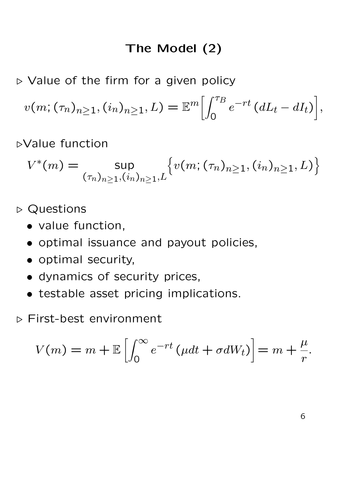## The Model (2)

 $\triangleright$  Value of the firm for a given policy

$$
v(m; (\tau_n)_{n\geq 1}, (i_n)_{n\geq 1}, L) = \mathbb{E}^m \Big[ \int_0^{\tau_B} e^{-rt} \left( dL_t - dI_t \right) \Big],
$$

.Value function

$$
V^*(m) = \sup_{(\tau_n)_{n \ge 1}, (i_n)_{n \ge 1}, L} \{ v(m; (\tau_n)_{n \ge 1}, (i_n)_{n \ge 1}, L) \}
$$

 $\triangleright$  Questions

- value function,
- optimal issuance and payout policies,
- optimal security,
- dynamics of security prices,
- testable asset pricing implications.
- . First-best environment

$$
V(m) = m + \mathbb{E}\left[\int_0^\infty e^{-rt} \left(\mu dt + \sigma dW_t\right)\right] = m + \frac{\mu}{r}.
$$

6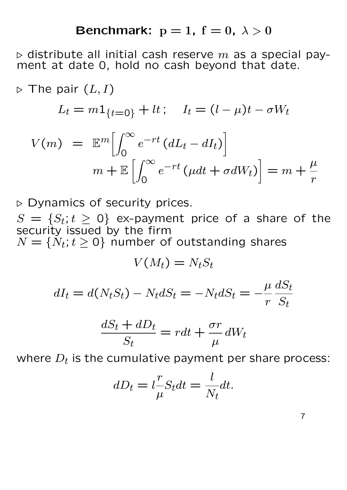#### Benchmark:  $p = 1$ ,  $f = 0$ ,  $\lambda > 0$

 $\triangleright$  distribute all initial cash reserve  $m$  as a special payment at date 0, hold no cash beyond that date.

$$
\triangleright \text{ The pair } (L, I)
$$
\n
$$
L_t = m \mathbf{1}_{\{t=0\}} + lt; \quad I_t = (l - \mu)t - \sigma W_t
$$
\n
$$
V(m) = \mathbb{E}^m \Big[ \int_0^\infty e^{-rt} (dL_t - dI_t) \Big]
$$
\n
$$
m + \mathbb{E} \Big[ \int_0^\infty e^{-rt} (\mu dt + \sigma dW_t) \Big] = m + \frac{\mu}{r}
$$

 $\triangleright$  Dynamics of security prices.

 $S = \{S_t; t \geq 0\}$  ex-payment price of a share of the security issued by the firm  $N = \{N_t; t \geq 0\}$  number of outstanding shares

$$
V(M_t) = N_t S_t
$$

$$
dI_t = d(N_t S_t) - N_t dS_t = -N_t dS_t = -\frac{\mu}{r} \frac{dS_t}{S_t}
$$

$$
\frac{dS_t + dD_t}{S_t} = rdt + \frac{\sigma r}{\mu} dW_t
$$

where  $D_t$  is the cumulative payment per share process:

$$
dD_t = l \frac{r}{\mu} S_t dt = \frac{l}{N_t} dt.
$$

7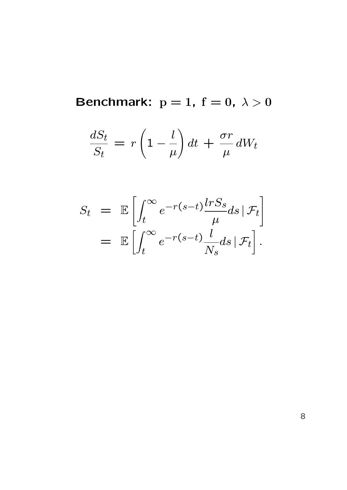Benchmark:  $p = 1$ ,  $f = 0$ ,  $\lambda > 0$ 

$$
\frac{dS_t}{S_t} = r\left(1 - \frac{l}{\mu}\right)dt + \frac{\sigma r}{\mu}dW_t
$$

$$
S_t = \mathbb{E} \left[ \int_t^{\infty} e^{-r(s-t)} \frac{\ln S_s}{\mu} ds \, | \, \mathcal{F}_t \right]
$$

$$
= \mathbb{E} \left[ \int_t^{\infty} e^{-r(s-t)} \frac{l}{N_s} ds \, | \, \mathcal{F}_t \right].
$$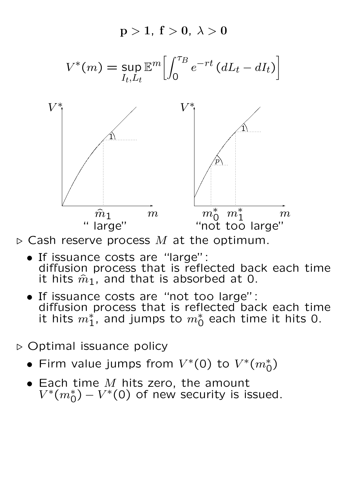



- If issuance costs are "large": diffusion process that is reflected back each time it hits  $\hat{m}_1$ , and that is absorbed at 0.
- If issuance costs are "not too large": diffusion process that is reflected back each time it hits  $m_1^*$ , and jumps to  $m_0^*$  each time it hits 0.
- $\triangleright$  Optimal issuance policy
	- Firm value jumps from  $V^*(0)$  to  $V^*(m_0^*)$
	- Each time  $M$  hits zero, the amount  $V^*(m_0^*) - V^*(0)$  of new security is issued.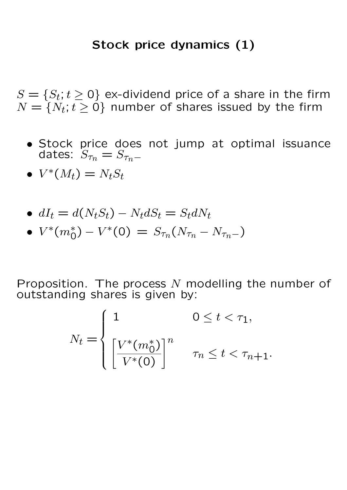### Stock price dynamics (1)

 $S = \{S_t; t \geq 0\}$  ex-dividend price of a share in the firm  $N = \{N_t; t \geq 0\}$  number of shares issued by the firm

- Stock price does not jump at optimal issuance dates:  $S_{\tau_n} = S_{\tau_n-}$
- $V^*(M_t) = N_t S_t$
- $dI_t = d(N_tS_t) N_t dS_t = S_t dN_t$
- $V^*(m_0^*) V^*(0) = S_{\tau_n}(N_{\tau_n} N_{\tau_n-})$

Proposition. The process  $N$  modelling the number of outstanding shares is given by:

$$
N_t = \begin{cases} 1 & 0 \le t < \tau_1, \\ \left[\frac{V^*(m_0^*)}{V^*(0)}\right]^n & \tau_n \le t < \tau_{n+1}. \end{cases}
$$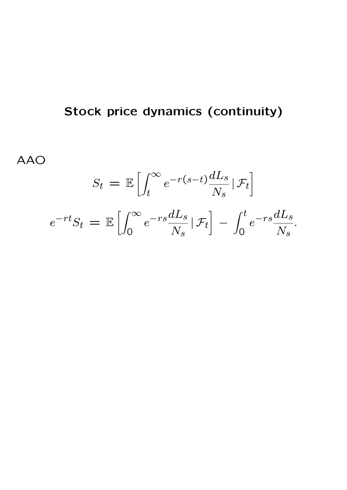# Stock price dynamics (continuity)

AAO

$$
S_t = \mathbb{E}\left[\int_t^{\infty} e^{-r(s-t)} \frac{dL_s}{N_s} |\mathcal{F}_t\right]
$$

$$
e^{-rt}S_t = \mathbb{E}\left[\int_0^{\infty} e^{-rs} \frac{dL_s}{N_s} |\mathcal{F}_t\right] - \int_0^t e^{-rs} \frac{dL_s}{N_s}.
$$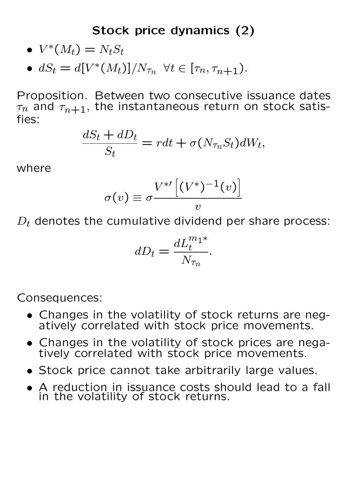## Stock price dynamics (2)

- $V^*(M_t) = N_t S_t$
- $dS_t = d[V^*(M_t)]/N_{\tau_n} \ \forall t \in [\tau_n, \tau_{n+1}).$

Proposition. Between two consecutive issuance dates  $\tau_n$  and  $\tau_{n+1}$ , the instantaneous return on stock satisfies:

$$
\frac{dS_t + dD_t}{S_t} = rdt + \sigma(N_{\tau_n} S_t) dW_t,
$$

where

$$
\sigma(v) \equiv \sigma \frac{V^{*'}\left[(V^*)^{-1}(v)\right]}{v}
$$

 $D_t$  denotes the cumulative dividend per share process:

$$
dD_t = \frac{dL_t^{m_1*}}{N_{\tau_n}}.
$$

Consequences:

- Changes in the volatility of stock returns are negatively correlated with stock price movements.
- Changes in the volatility of stock prices are negatively correlated with stock price movements.
- Stock price cannot take arbitrarily large values.
- A reduction in issuance costs should lead to a fall in the volatility of stock returns.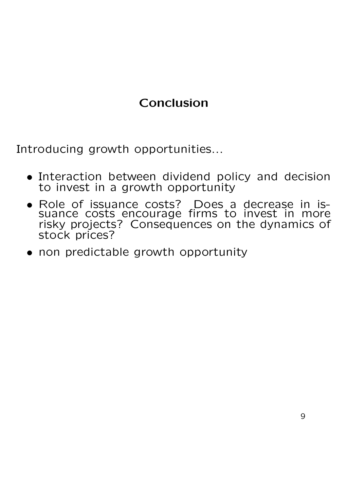# Conclusion

Introducing growth opportunities...

- Interaction between dividend policy and decision to invest in a growth opportunity
- Role of issuance costs? Does a decrease in issuance costs encourage firms to invest in more risky projects? Consequences on the dynamics of stock prices?
- non predictable growth opportunity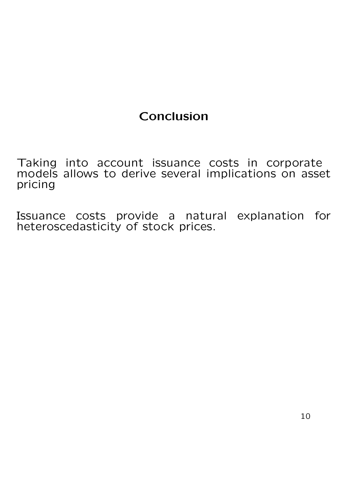# Conclusion

Taking into account issuance costs in corporate models allows to derive several implications on asset pricing

Issuance costs provide a natural explanation for heteroscedasticity of stock prices.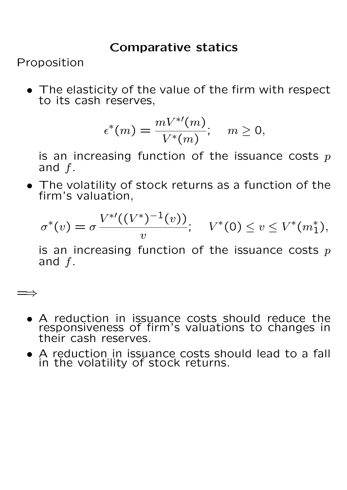### Comparative statics

Proposition

=⇒

• The elasticity of the value of the firm with respect to its cash reserves,

$$
\epsilon^*(m) = \frac{mV^{*'}(m)}{V^*(m)}; \quad m \ge 0,
$$

is an increasing function of the issuance costs  $p$ and  $f$ .

• The volatility of stock returns as a function of the firm's valuation,

$$
\sigma^*(v) = \sigma \frac{V^{*'}((V^*)^{-1}(v))}{v}; \quad V^*(0) \le v \le V^*(m_1^*),
$$

is an increasing function of the issuance costs  $p$ and f.

- A reduction in issuance costs should reduce the responsiveness of firm's valuations to changes in their cash reserves.
- A reduction in issuance costs should lead to a fall in the volatility of stock returns.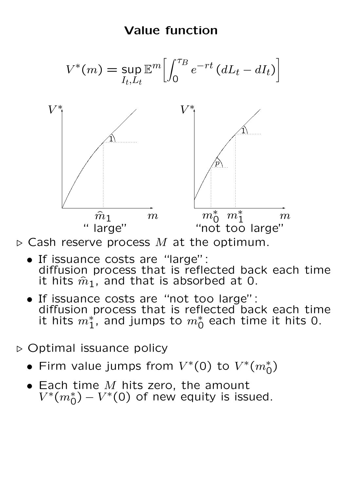### Value function



 $\triangleright$  Cash reserve process M at the optimum.

- If issuance costs are "large": diffusion process that is reflected back each time it hits  $\hat{m}_1$ , and that is absorbed at 0.
- If issuance costs are "not too large": diffusion process that is reflected back each time it hits  $m_1^*$ , and jumps to  $m_0^*$  each time it hits 0.
- . Optimal issuance policy
	- Firm value jumps from  $V^*(0)$  to  $V^*(m_0^*)$
	- $\bullet$  Each time  $M$  hits zero, the amount  $V^*(m_0^*) - V^*(0)$  of new equity is issued.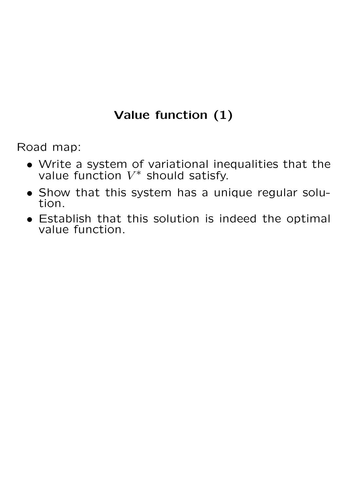# Value function (1)

Road map:

- Write a system of variational inequalities that the value function  $V^*$  should satisfy.
- Show that this system has a unique regular solution.
- Establish that this solution is indeed the optimal value function.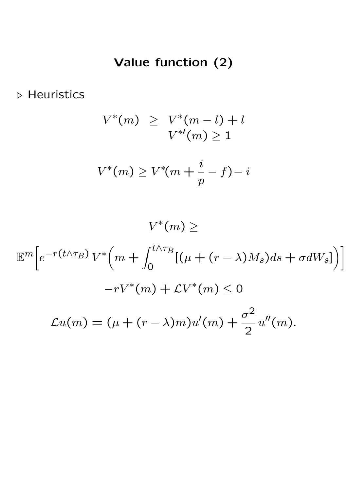# Value function (2)

 $\triangleright$  Heuristics

$$
V^*(m) \ge V^*(m-l) + l
$$
  

$$
V^{*}(m) \ge 1
$$
  

$$
V^*(m) \ge V^*(m + \frac{i}{p} - f) - i
$$

 $V^*(m) \geq$ 

$$
\mathbb{E}^{m} \Big[ e^{-r(t \wedge \tau_B)} V^* \Big( m + \int_0^{t \wedge \tau_B} [(\mu + (r - \lambda) M_s) ds + \sigma dW_s] \Big) \Big]
$$
  

$$
-r V^* (m) + \mathcal{L} V^* (m) \le 0
$$
  

$$
\mathcal{L}u(m) = (\mu + (r - \lambda)m) u'(m) + \frac{\sigma^2}{2} u''(m).
$$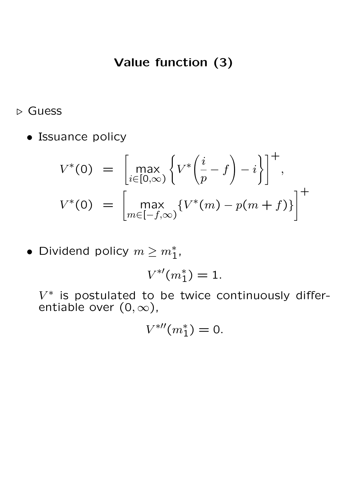## Value function (3)

. Guess

• Issuance policy

$$
V^*(0) = \left[\max_{i \in [0,\infty)} \left\{ V^*\left(\frac{i}{p} - f\right) - i \right\} \right]^+,
$$
  

$$
V^*(0) = \left[\max_{m \in [-f,\infty)} \left\{ V^*(m) - p(m+f) \right\} \right]^+
$$

• Dividend policy  $m \geq m_1^*$ ,

$$
V^{*\prime}(m_1^*)=1.
$$

 $V^*$  is postulated to be twice continuously differentiable over  $(0, \infty)$ ,

$$
V^{\ast\prime\prime}(m_1^*)=0.
$$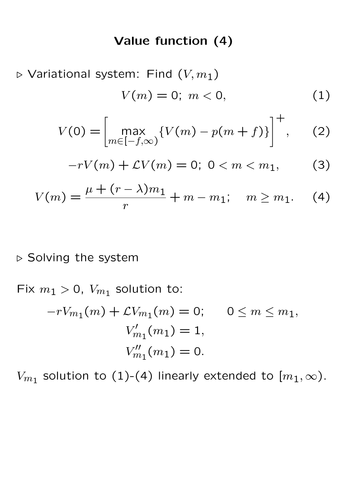#### Value function (4)

 $\triangleright$  Variational system: Find  $(V, m_1)$ 

$$
V(m) = 0; \ m < 0,\tag{1}
$$

$$
V(0) = \left[ \max_{m \in [-f,\infty)} \{ V(m) - p(m+f) \} \right]^+, \quad (2)
$$

$$
-rV(m) + LV(m) = 0; \ 0 < m < m_1,\tag{3}
$$

$$
V(m) = \frac{\mu + (r - \lambda)m_1}{r} + m - m_1; \quad m \ge m_1.
$$
 (4)

#### $\triangleright$  Solving the system

Fix  $m_1 > 0$ ,  $V_{m_1}$  solution to:  $-rV_{m_1}(m) + \mathcal{L}V_{m_1}(m) = 0; \quad 0 \leq m \leq m_1,$  $V_n'$  $m'_m(m_1) = 1,$  $V_m''$  $m_1''(m_1)=0.$ 

 $V_{m_1}$  solution to (1)-(4) linearly extended to  $[m_1,\infty)$ .